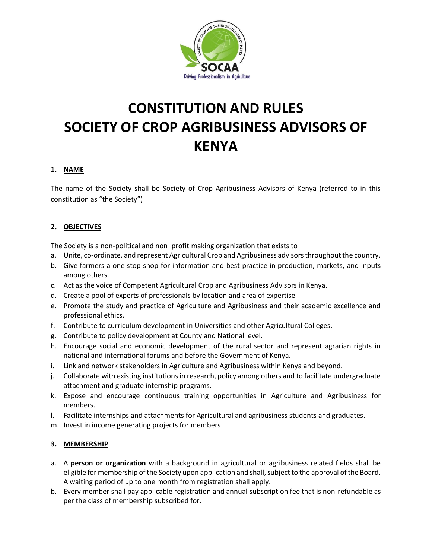

# **CONSTITUTION AND RULES SOCIETY OF CROP AGRIBUSINESS ADVISORS OF KENYA**

#### **1. NAME**

The name of the Society shall be Society of Crop Agribusiness Advisors of Kenya (referred to in this constitution as "the Society")

# **2. OBJECTIVES**

The Society is a non-political and non–profit making organization that exists to

- a. Unite, co-ordinate, and represent Agricultural Crop and Agribusiness advisors throughout the country.
- b. Give farmers a one stop shop for information and best practice in production, markets, and inputs among others.
- c. Act as the voice of Competent Agricultural Crop and Agribusiness Advisors in Kenya.
- d. Create a pool of experts of professionals by location and area of expertise
- e. Promote the study and practice of Agriculture and Agribusiness and their academic excellence and professional ethics.
- f. Contribute to curriculum development in Universities and other Agricultural Colleges.
- g. Contribute to policy development at County and National level.
- h. Encourage social and economic development of the rural sector and represent agrarian rights in national and international forums and before the Government of Kenya.
- i. Link and network stakeholders in Agriculture and Agribusiness within Kenya and beyond.
- j. Collaborate with existing institutions in research, policy among others and to facilitate undergraduate attachment and graduate internship programs.
- k. Expose and encourage continuous training opportunities in Agriculture and Agribusiness for members.
- l. Facilitate internships and attachments for Agricultural and agribusiness students and graduates.
- m. Invest in income generating projects for members

#### **3. MEMBERSHIP**

- a. A **person or organization** with a background in agricultural or agribusiness related fields shall be eligible for membership of the Society upon application and shall, subject to the approval of the Board. A waiting period of up to one month from registration shall apply.
- b. Every member shall pay applicable registration and annual subscription fee that is non-refundable as per the class of membership subscribed for.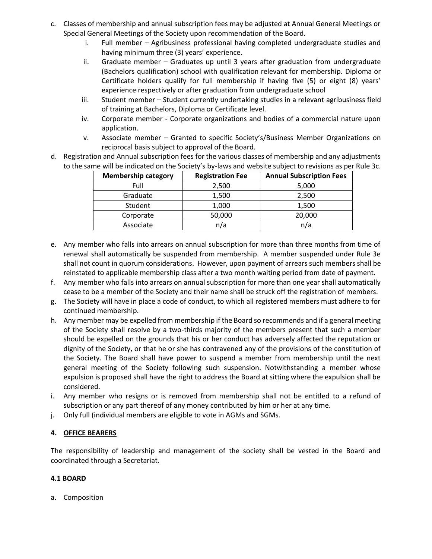- c. Classes of membership and annual subscription fees may be adjusted at Annual General Meetings or Special General Meetings of the Society upon recommendation of the Board.
	- i. Full member Agribusiness professional having completed undergraduate studies and having minimum three (3) years' experience.
	- ii. Graduate member Graduates up until 3 years after graduation from undergraduate (Bachelors qualification) school with qualification relevant for membership. Diploma or Certificate holders qualify for full membership if having five (5) or eight (8) years' experience respectively or after graduation from undergraduate school
	- iii. Student member Student currently undertaking studies in a relevant agribusiness field of training at Bachelors, Diploma or Certificate level.
	- iv. Corporate member Corporate organizations and bodies of a commercial nature upon application.
	- v. Associate member Granted to specific Society's/Business Member Organizations on reciprocal basis subject to approval of the Board.
- d. Registration and Annual subscription fees for the various classes of membership and any adjustments to the same will be indicated on the Society's by-laws and website subject to revisions as per Rule 3c.

| <b>Membership category</b> | <b>Registration Fee</b> | <b>Annual Subscription Fees</b> |
|----------------------------|-------------------------|---------------------------------|
| Full                       | 2,500                   | 5,000                           |
| Graduate                   | 1,500                   | 2,500                           |
| Student                    | 1,000                   | 1,500                           |
| Corporate                  | 50,000                  | 20,000                          |
| Associate                  | n/a                     | n/a                             |

- e. Any member who falls into arrears on annual subscription for more than three months from time of renewal shall automatically be suspended from membership. A member suspended under Rule 3e shall not count in quorum considerations. However, upon payment of arrears such members shall be reinstated to applicable membership class after a two month waiting period from date of payment.
- f. Any member who falls into arrears on annual subscription for more than one year shall automatically cease to be a member of the Society and their name shall be struck off the registration of members.
- g. The Society will have in place a code of conduct, to which all registered members must adhere to for continued membership.
- h. Any member may be expelled from membership if the Board so recommends and if a general meeting of the Society shall resolve by a two-thirds majority of the members present that such a member should be expelled on the grounds that his or her conduct has adversely affected the reputation or dignity of the Society, or that he or she has contravened any of the provisions of the constitution of the Society. The Board shall have power to suspend a member from membership until the next general meeting of the Society following such suspension. Notwithstanding a member whose expulsion is proposed shall have the right to address the Board at sitting where the expulsion shall be considered.
- i. Any member who resigns or is removed from membership shall not be entitled to a refund of subscription or any part thereof of any money contributed by him or her at any time.
- j. Only full (individual members are eligible to vote in AGMs and SGMs.

#### **4. OFFICE BEARERS**

The responsibility of leadership and management of the society shall be vested in the Board and coordinated through a Secretariat.

#### **4.1 BOARD**

a. Composition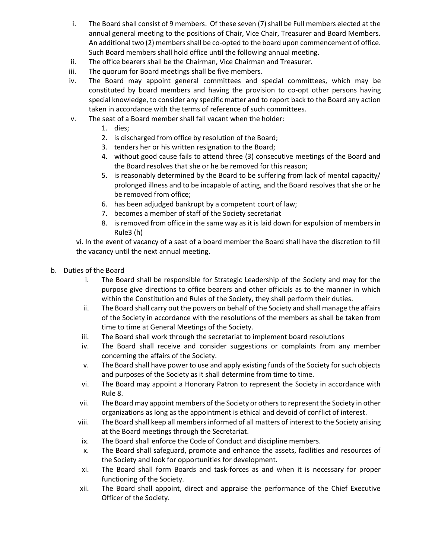- i. The Board shall consist of 9 members. Of these seven (7) shall be Full members elected at the annual general meeting to the positions of Chair, Vice Chair, Treasurer and Board Members. An additional two (2) members shall be co-opted to the board upon commencement of office. Such Board members shall hold office until the following annual meeting.
- ii. The office bearers shall be the Chairman, Vice Chairman and Treasurer.
- iii. The quorum for Board meetings shall be five members.
- iv. The Board may appoint general committees and special committees, which may be constituted by board members and having the provision to co-opt other persons having special knowledge, to consider any specific matter and to report back to the Board any action taken in accordance with the terms of reference of such committees.
- v. The seat of a Board member shall fall vacant when the holder:
	- 1. dies;
	- 2. is discharged from office by resolution of the Board;
	- 3. tenders her or his written resignation to the Board;
	- 4. without good cause fails to attend three (3) consecutive meetings of the Board and the Board resolves that she or he be removed for this reason;
	- 5. is reasonably determined by the Board to be suffering from lack of mental capacity/ prolonged illness and to be incapable of acting, and the Board resolves that she or he be removed from office;
	- 6. has been adjudged bankrupt by a competent court of law;
	- 7. becomes a member of staff of the Society secretariat
	- 8. is removed from office in the same way as it is laid down for expulsion of members in Rule3 (h)

vi. In the event of vacancy of a seat of a board member the Board shall have the discretion to fill the vacancy until the next annual meeting.

- b. Duties of the Board
	- i. The Board shall be responsible for Strategic Leadership of the Society and may for the purpose give directions to office bearers and other officials as to the manner in which within the Constitution and Rules of the Society, they shall perform their duties.
	- ii. The Board shall carry out the powers on behalf of the Society and shall manage the affairs of the Society in accordance with the resolutions of the members as shall be taken from time to time at General Meetings of the Society.
	- iii. The Board shall work through the secretariat to implement board resolutions
	- iv. The Board shall receive and consider suggestions or complaints from any member concerning the affairs of the Society.
	- v. The Board shall have power to use and apply existing funds of the Society for such objects and purposes of the Society as it shall determine from time to time.
	- vi. The Board may appoint a Honorary Patron to represent the Society in accordance with Rule 8.
	- vii. The Board may appoint members of the Society or others to represent the Society in other organizations as long as the appointment is ethical and devoid of conflict of interest.
	- viii. The Board shall keep all members informed of all matters of interest to the Society arising at the Board meetings through the Secretariat.
	- ix. The Board shall enforce the Code of Conduct and discipline members.
	- x. The Board shall safeguard, promote and enhance the assets, facilities and resources of the Society and look for opportunities for development.
	- xi. The Board shall form Boards and task-forces as and when it is necessary for proper functioning of the Society.
	- xii. The Board shall appoint, direct and appraise the performance of the Chief Executive Officer of the Society.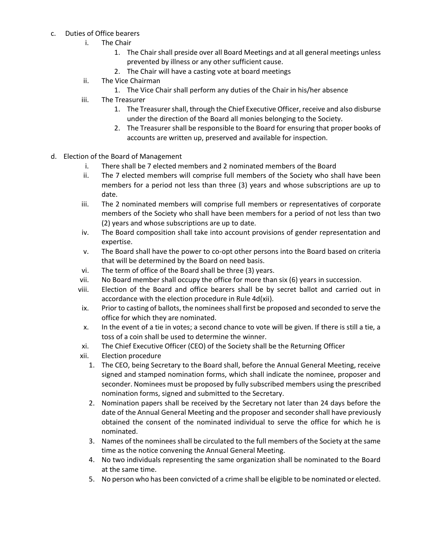- c. Duties of Office bearers
	- i. The Chair
		- 1. The Chair shall preside over all Board Meetings and at all general meetings unless prevented by illness or any other sufficient cause.
		- 2. The Chair will have a casting vote at board meetings
	- ii. The Vice Chairman
		- 1. The Vice Chair shall perform any duties of the Chair in his/her absence
	- iii. The Treasurer
		- 1. The Treasurer shall, through the Chief Executive Officer, receive and also disburse under the direction of the Board all monies belonging to the Society.
		- 2. The Treasurer shall be responsible to the Board for ensuring that proper books of accounts are written up, preserved and available for inspection.
- d. Election of the Board of Management
	- i. There shall be 7 elected members and 2 nominated members of the Board
	- ii. The 7 elected members will comprise full members of the Society who shall have been members for a period not less than three (3) years and whose subscriptions are up to date.
	- iii. The 2 nominated members will comprise full members or representatives of corporate members of the Society who shall have been members for a period of not less than two (2) years and whose subscriptions are up to date.
	- iv. The Board composition shall take into account provisions of gender representation and expertise.
	- v. The Board shall have the power to co-opt other persons into the Board based on criteria that will be determined by the Board on need basis.
	- vi. The term of office of the Board shall be three (3) years.
	- vii. No Board member shall occupy the office for more than six (6) years in succession.
	- viii. Election of the Board and office bearers shall be by secret ballot and carried out in accordance with the election procedure in Rule 4d(xii).
	- ix. Prior to casting of ballots, the nominees shall first be proposed and seconded to serve the office for which they are nominated.
	- x. In the event of a tie in votes; a second chance to vote will be given. If there is still a tie, a toss of a coin shall be used to determine the winner.
	- xi. The Chief Executive Officer (CEO) of the Society shall be the Returning Officer
	- xii. Election procedure
		- 1. The CEO, being Secretary to the Board shall, before the Annual General Meeting, receive signed and stamped nomination forms, which shall indicate the nominee, proposer and seconder. Nominees must be proposed by fully subscribed members using the prescribed nomination forms, signed and submitted to the Secretary.
		- 2. Nomination papers shall be received by the Secretary not later than 24 days before the date of the Annual General Meeting and the proposer and seconder shall have previously obtained the consent of the nominated individual to serve the office for which he is nominated.
		- 3. Names of the nominees shall be circulated to the full members of the Society at the same time as the notice convening the Annual General Meeting.
		- 4. No two individuals representing the same organization shall be nominated to the Board at the same time.
		- 5. No person who has been convicted of a crime shall be eligible to be nominated or elected.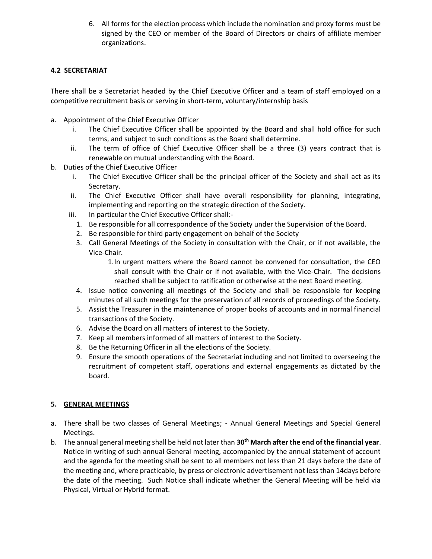6. All forms for the election process which include the nomination and proxy forms must be signed by the CEO or member of the Board of Directors or chairs of affiliate member organizations.

## **4.2 SECRETARIAT**

There shall be a Secretariat headed by the Chief Executive Officer and a team of staff employed on a competitive recruitment basis or serving in short-term, voluntary/internship basis

- a. Appointment of the Chief Executive Officer
	- i. The Chief Executive Officer shall be appointed by the Board and shall hold office for such terms, and subject to such conditions as the Board shall determine.
	- ii. The term of office of Chief Executive Officer shall be a three (3) years contract that is renewable on mutual understanding with the Board.
- b. Duties of the Chief Executive Officer
	- i. The Chief Executive Officer shall be the principal officer of the Society and shall act as its Secretary.
	- ii. The Chief Executive Officer shall have overall responsibility for planning, integrating, implementing and reporting on the strategic direction of the Society.
	- iii. In particular the Chief Executive Officer shall:-
		- 1. Be responsible for all correspondence of the Society under the Supervision of the Board.
		- 2. Be responsible for third party engagement on behalf of the Society
		- 3. Call General Meetings of the Society in consultation with the Chair, or if not available, the Vice-Chair.

1.In urgent matters where the Board cannot be convened for consultation, the CEO shall consult with the Chair or if not available, with the Vice-Chair. The decisions reached shall be subject to ratification or otherwise at the next Board meeting.

- 4. Issue notice convening all meetings of the Society and shall be responsible for keeping minutes of all such meetings for the preservation of all records of proceedings of the Society.
- 5. Assist the Treasurer in the maintenance of proper books of accounts and in normal financial transactions of the Society.
- 6. Advise the Board on all matters of interest to the Society.
- 7. Keep all members informed of all matters of interest to the Society.
- 8. Be the Returning Officer in all the elections of the Society.
- 9. Ensure the smooth operations of the Secretariat including and not limited to overseeing the recruitment of competent staff, operations and external engagements as dictated by the board.

#### **5. GENERAL MEETINGS**

- a. There shall be two classes of General Meetings; Annual General Meetings and Special General Meetings.
- b. The annual general meeting shall be held not later than **30th March after the end of the financial year**. Notice in writing of such annual General meeting, accompanied by the annual statement of account and the agenda for the meeting shall be sent to all members not less than 21 days before the date of the meeting and, where practicable, by press or electronic advertisement not less than 14days before the date of the meeting. Such Notice shall indicate whether the General Meeting will be held via Physical, Virtual or Hybrid format.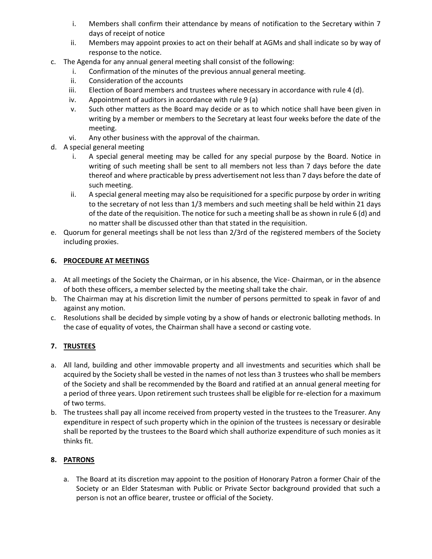- i. Members shall confirm their attendance by means of notification to the Secretary within 7 days of receipt of notice
- ii. Members may appoint proxies to act on their behalf at AGMs and shall indicate so by way of response to the notice.
- c. The Agenda for any annual general meeting shall consist of the following:
	- i. Confirmation of the minutes of the previous annual general meeting.
	- ii. Consideration of the accounts
	- iii. Election of Board members and trustees where necessary in accordance with rule 4 (d).
	- iv. Appointment of auditors in accordance with rule 9 (a)
	- v. Such other matters as the Board may decide or as to which notice shall have been given in writing by a member or members to the Secretary at least four weeks before the date of the meeting.
	- vi. Any other business with the approval of the chairman.
- d. A special general meeting
	- i. A special general meeting may be called for any special purpose by the Board. Notice in writing of such meeting shall be sent to all members not less than 7 days before the date thereof and where practicable by press advertisement not less than 7 days before the date of such meeting.
	- ii. A special general meeting may also be requisitioned for a specific purpose by order in writing to the secretary of not less than 1/3 members and such meeting shall be held within 21 days of the date of the requisition. The notice for such a meeting shall be as shown in rule 6 (d) and no matter shall be discussed other than that stated in the requisition.
- e. Quorum for general meetings shall be not less than 2/3rd of the registered members of the Society including proxies.

#### **6. PROCEDURE AT MEETINGS**

- a. At all meetings of the Society the Chairman, or in his absence, the Vice- Chairman, or in the absence of both these officers, a member selected by the meeting shall take the chair.
- b. The Chairman may at his discretion limit the number of persons permitted to speak in favor of and against any motion.
- c. Resolutions shall be decided by simple voting by a show of hands or electronic balloting methods. In the case of equality of votes, the Chairman shall have a second or casting vote.

#### **7. TRUSTEES**

- a. All land, building and other immovable property and all investments and securities which shall be acquired by the Society shall be vested in the names of not less than 3 trustees who shall be members of the Society and shall be recommended by the Board and ratified at an annual general meeting for a period of three years. Upon retirement such trustees shall be eligible for re-election for a maximum of two terms.
- b. The trustees shall pay all income received from property vested in the trustees to the Treasurer. Any expenditure in respect of such property which in the opinion of the trustees is necessary or desirable shall be reported by the trustees to the Board which shall authorize expenditure of such monies as it thinks fit.

#### **8. PATRONS**

a. The Board at its discretion may appoint to the position of Honorary Patron a former Chair of the Society or an Elder Statesman with Public or Private Sector background provided that such a person is not an office bearer, trustee or official of the Society.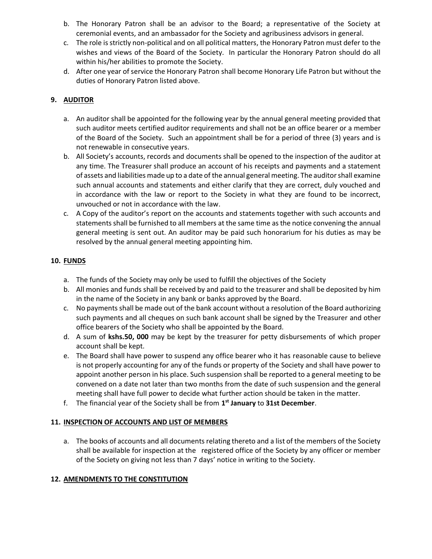- b. The Honorary Patron shall be an advisor to the Board; a representative of the Society at ceremonial events, and an ambassador for the Society and agribusiness advisors in general.
- c. The role is strictly non-political and on all political matters, the Honorary Patron must defer to the wishes and views of the Board of the Society. In particular the Honorary Patron should do all within his/her abilities to promote the Society.
- d. After one year of service the Honorary Patron shall become Honorary Life Patron but without the duties of Honorary Patron listed above.

### **9. AUDITOR**

- a. An auditor shall be appointed for the following year by the annual general meeting provided that such auditor meets certified auditor requirements and shall not be an office bearer or a member of the Board of the Society. Such an appointment shall be for a period of three (3) years and is not renewable in consecutive years.
- b. All Society's accounts, records and documents shall be opened to the inspection of the auditor at any time. The Treasurer shall produce an account of his receipts and payments and a statement of assets and liabilities made up to a date of the annual general meeting. The auditor shall examine such annual accounts and statements and either clarify that they are correct, duly vouched and in accordance with the law or report to the Society in what they are found to be incorrect, unvouched or not in accordance with the law.
- c. A Copy of the auditor's report on the accounts and statements together with such accounts and statements shall be furnished to all members at the same time as the notice convening the annual general meeting is sent out. An auditor may be paid such honorarium for his duties as may be resolved by the annual general meeting appointing him.

# **10. FUNDS**

- a. The funds of the Society may only be used to fulfill the objectives of the Society
- b. All monies and funds shall be received by and paid to the treasurer and shall be deposited by him in the name of the Society in any bank or banks approved by the Board.
- c. No payments shall be made out of the bank account without a resolution of the Board authorizing such payments and all cheques on such bank account shall be signed by the Treasurer and other office bearers of the Society who shall be appointed by the Board.
- d. A sum of **kshs.50, 000** may be kept by the treasurer for petty disbursements of which proper account shall be kept.
- e. The Board shall have power to suspend any office bearer who it has reasonable cause to believe is not properly accounting for any of the funds or property of the Society and shall have power to appoint another person in his place. Such suspension shall be reported to a general meeting to be convened on a date not later than two months from the date of such suspension and the general meeting shall have full power to decide what further action should be taken in the matter.
- f. The financial year of the Society shall be from **1 st January** to **31st December**.

#### **11. INSPECTION OF ACCOUNTS AND LIST OF MEMBERS**

a. The books of accounts and all documents relating thereto and a list of the members of the Society shall be available for inspection at the registered office of the Society by any officer or member of the Society on giving not less than 7 days' notice in writing to the Society.

#### **12. AMENDMENTS TO THE CONSTITUTION**